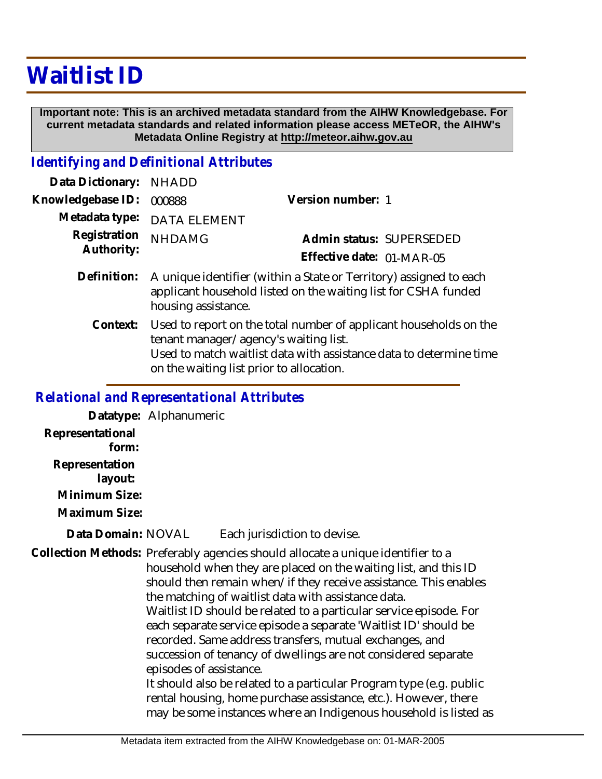## **Waitlist ID**

 **Important note: This is an archived metadata standard from the AIHW Knowledgebase. For current metadata standards and related information please access METeOR, the AIHW's Metadata Online Registry at http://meteor.aihw.gov.au**

## *Identifying and Definitional Attributes*

| Data Dictionary: NHADD     |                                                                                                                                                             |                                                       |
|----------------------------|-------------------------------------------------------------------------------------------------------------------------------------------------------------|-------------------------------------------------------|
| Knowledgebase ID:          | 000888                                                                                                                                                      | Version number: 1                                     |
|                            | Metadata type: DATA ELEMENT                                                                                                                                 |                                                       |
| Registration<br>Authority: | <b>NHDAMG</b>                                                                                                                                               | Admin status: SUPERSEDED<br>Effective date: 01-MAR-05 |
| Definition:                | A unique identifier (within a State or Territory) assigned to each<br>applicant household listed on the waiting list for CSHA funded<br>housing assistance. |                                                       |

Used to report on the total number of applicant households on the tenant manager/agency's waiting list. Used to match waitlist data with assistance data to determine time on the waiting list prior to allocation. **Context:**

## *Relational and Representational Attributes*

**Datatype:** Alphanumeric

**Representational form:**

**Representation** 

 **layout:**

**Minimum Size:**

**Maximum Size:**

Each jurisdiction to devise. **Data Domain:**

Collection Methods: Preferably agencies should allocate a unique identifier to a household when they are placed on the waiting list, and this ID should then remain when/if they receive assistance. This enables the matching of waitlist data with assistance data. Waitlist ID should be related to a particular service episode. For each separate service episode a separate 'Waitlist ID' should be recorded. Same address transfers, mutual exchanges, and succession of tenancy of dwellings are not considered separate episodes of assistance. It should also be related to a particular Program type (e.g. public rental housing, home purchase assistance, etc.). However, there may be some instances where an Indigenous household is listed as